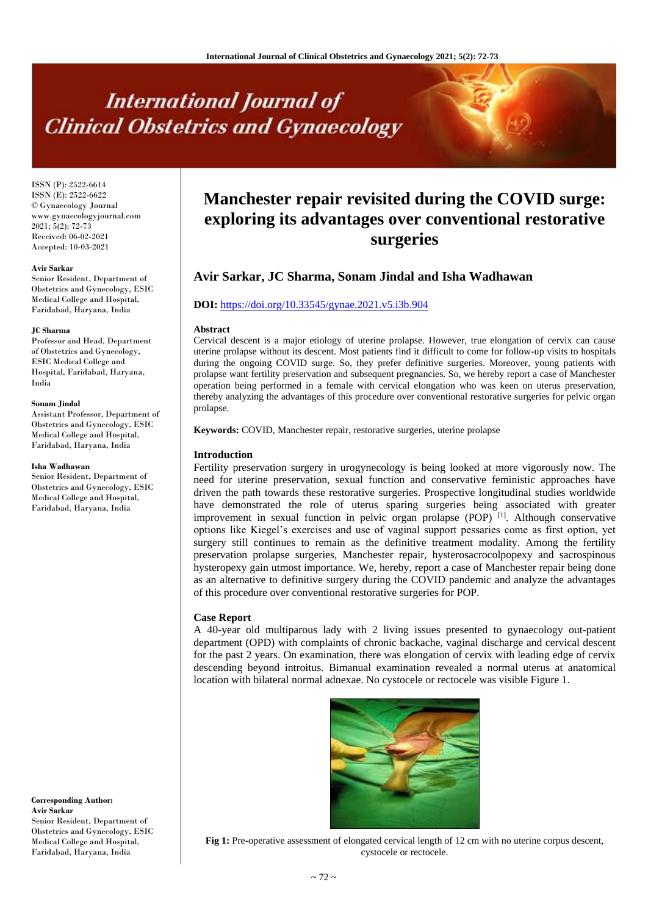# **International Journal of Clinical Obstetrics and Gynaecology**

ISSN (P): 2522-6614 ISSN (E): 2522-6622 © Gynaecology Journal www.gynaecologyjournal.com  $2021; 5(2): 72-73$ Received: 06-02-2021 Accepted: 10-03-2021

#### **Avir Sarkar**

Senior Resident, Department of Obstetrics and Gynecology, ESIC Medical College and Hospital, Faridabad, Haryana, India

#### **JC Sharma**

Professor and Head, Department of Obstetrics and Gynecology, ESIC Medical College and Hospital, Faridabad, Haryana, India

#### **Sonam Jindal**

Assistant Professor, Department of Obstetrics and Gynecology, ESIC Medical College and Hospital, Faridabad, Haryana, India

#### **Isha Wadhawan**

Senior Resident, Department of Obstetrics and Gynecology, ESIC Medical College and Hospital, Faridabad, Haryana, India

**Corresponding Author: Avir Sarkar** Senior Resident, Department of Obstetrics and Gynecology, ESIC Medical College and Hospital, Faridabad, Haryana, India

## **Manchester repair revisited during the COVID surge: exploring its advantages over conventional restorative surgeries**

### **Avir Sarkar, JC Sharma, Sonam Jindal and Isha Wadhawan**

#### **DOI:** <https://doi.org/10.33545/gynae.2021.v5.i3b.904>

#### **Abstract**

Cervical descent is a major etiology of uterine prolapse. However, true elongation of cervix can cause uterine prolapse without its descent. Most patients find it difficult to come for follow-up visits to hospitals during the ongoing COVID surge. So, they prefer definitive surgeries. Moreover, young patients with prolapse want fertility preservation and subsequent pregnancies. So, we hereby report a case of Manchester operation being performed in a female with cervical elongation who was keen on uterus preservation, thereby analyzing the advantages of this procedure over conventional restorative surgeries for pelvic organ prolapse.

**Keywords:** COVID, Manchester repair, restorative surgeries, uterine prolapse

#### **Introduction**

Fertility preservation surgery in urogynecology is being looked at more vigorously now. The need for uterine preservation, sexual function and conservative feministic approaches have driven the path towards these restorative surgeries. Prospective longitudinal studies worldwide have demonstrated the role of uterus sparing surgeries being associated with greater improvement in sexual function in pelvic organ prolapse (POP)<sup>[1]</sup>. Although conservative options like Kiegel's exercises and use of vaginal support pessaries come as first option, yet surgery still continues to remain as the definitive treatment modality. Among the fertility preservation prolapse surgeries, Manchester repair, hysterosacrocolpopexy and sacrospinous hysteropexy gain utmost importance. We, hereby, report a case of Manchester repair being done as an alternative to definitive surgery during the COVID pandemic and analyze the advantages of this procedure over conventional restorative surgeries for POP.

#### **Case Report**

A 40-year old multiparous lady with 2 living issues presented to gynaecology out-patient department (OPD) with complaints of chronic backache, vaginal discharge and cervical descent for the past 2 years. On examination, there was elongation of cervix with leading edge of cervix descending beyond introitus. Bimanual examination revealed a normal uterus at anatomical location with bilateral normal adnexae. No cystocele or rectocele was visible Figure 1.



**Fig 1:** Pre-operative assessment of elongated cervical length of 12 cm with no uterine corpus descent, cystocele or rectocele.